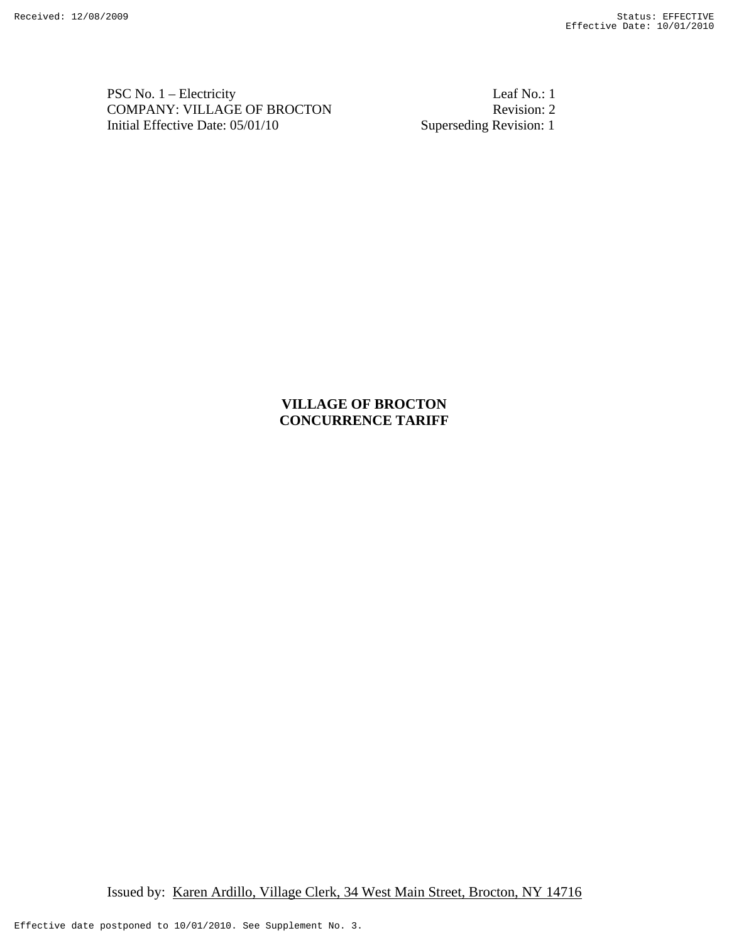PSC No. 1 – Electricity Leaf No.: 1 COMPANY: VILLAGE OF BROCTON Revision: 2<br>Initial Effective Date: 05/01/10 Superseding Revision: 1 Initial Effective Date:  $05/01/10$ 

# **VILLAGE OF BROCTON CONCURRENCE TARIFF**

Issued by: Karen Ardillo, Village Clerk, 34 West Main Street, Brocton, NY 14716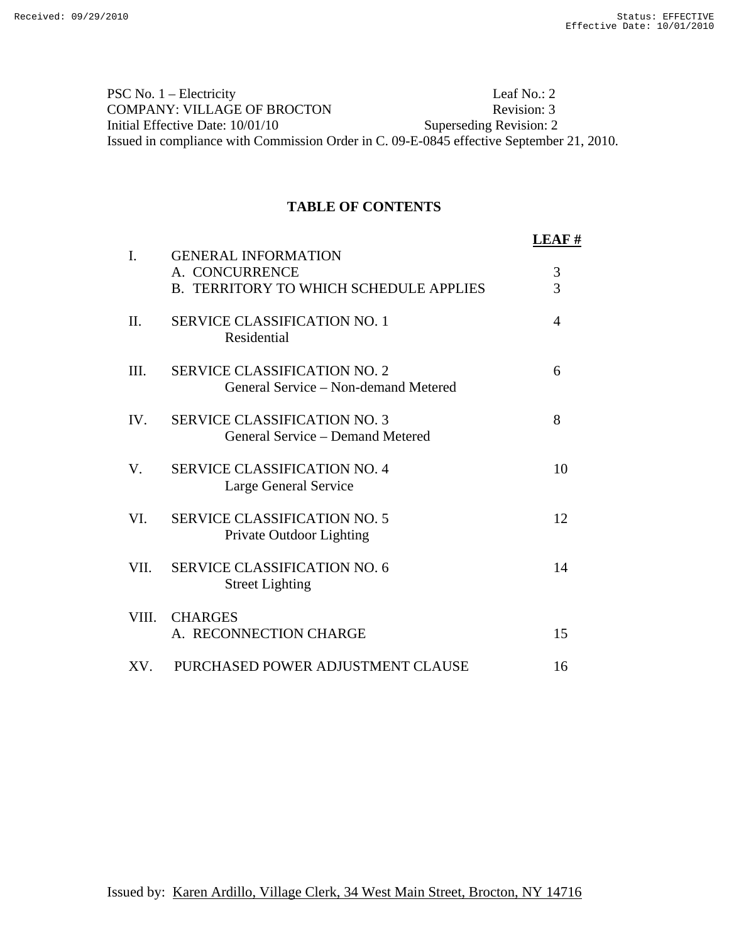PSC No. 1 – Electricity Leaf No.: 2 COMPANY: VILLAGE OF BROCTON Revision: 3 Initial Effective Date: 10/01/10 Superseding Revision: 2 Issued in compliance with Commission Order in C. 09-E-0845 effective September 21, 2010.

## **TABLE OF CONTENTS**

|                |                                                                                               | LEAF #         |
|----------------|-----------------------------------------------------------------------------------------------|----------------|
| $\mathbf{I}$ . | <b>GENERAL INFORMATION</b><br>A. CONCURRENCE<br><b>B. TERRITORY TO WHICH SCHEDULE APPLIES</b> | 3<br>3         |
| П.             | <b>SERVICE CLASSIFICATION NO. 1</b><br>Residential                                            | $\overline{A}$ |
| III.           | <b>SERVICE CLASSIFICATION NO. 2</b><br>General Service – Non-demand Metered                   | 6              |
| IV.            | <b>SERVICE CLASSIFICATION NO. 3</b><br>General Service – Demand Metered                       | 8              |
| V.             | <b>SERVICE CLASSIFICATION NO. 4</b><br>Large General Service                                  | 10             |
| VI.            | <b>SERVICE CLASSIFICATION NO. 5</b><br>Private Outdoor Lighting                               | 12             |
| VII.           | <b>SERVICE CLASSIFICATION NO. 6</b><br><b>Street Lighting</b>                                 | 14             |
| VIII.          | <b>CHARGES</b><br>A. RECONNECTION CHARGE                                                      | 15             |
| XV.            | PURCHASED POWER ADJUSTMENT CLAUSE                                                             | 16             |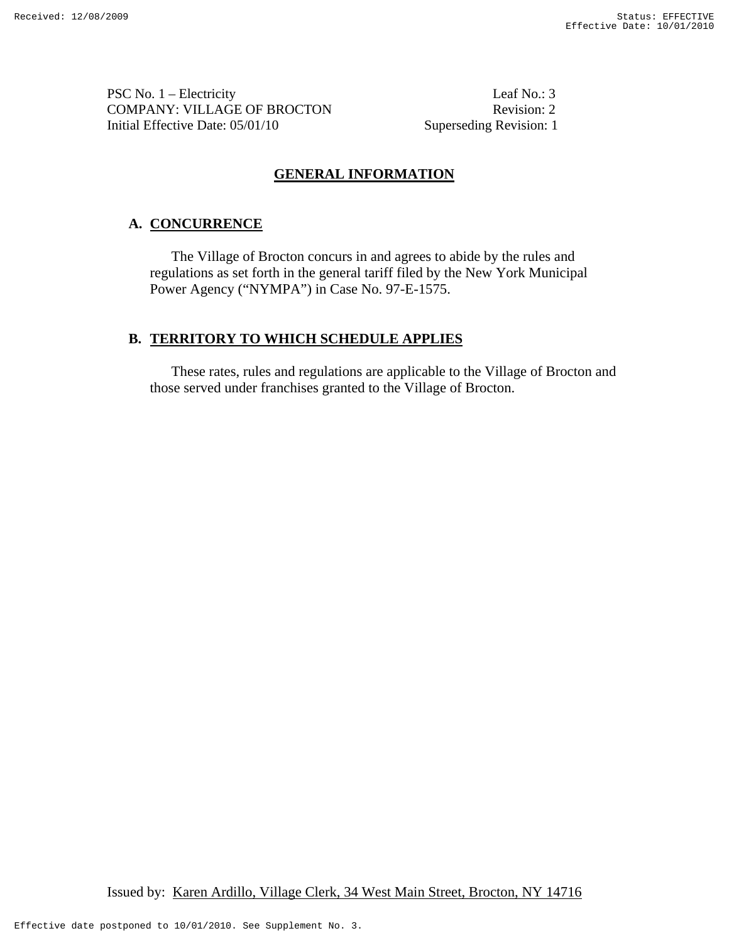PSC No. 1 – Electricity Leaf No.: 3 COMPANY: VILLAGE OF BROCTON Revision: 2 Initial Effective Date: 05/01/10 Superseding Revision: 1

## **GENERAL INFORMATION**

## **A. CONCURRENCE**

The Village of Brocton concurs in and agrees to abide by the rules and regulations as set forth in the general tariff filed by the New York Municipal Power Agency ("NYMPA") in Case No. 97-E-1575.

## **B. TERRITORY TO WHICH SCHEDULE APPLIES**

These rates, rules and regulations are applicable to the Village of Brocton and those served under franchises granted to the Village of Brocton.

Issued by: Karen Ardillo, Village Clerk, 34 West Main Street, Brocton, NY 14716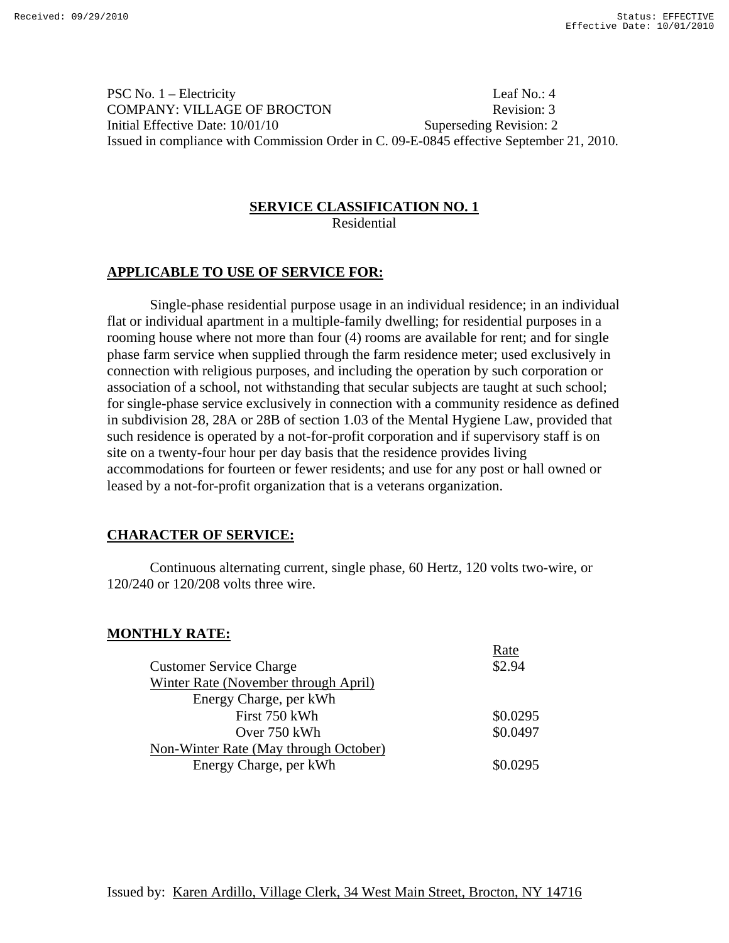PSC No. 1 – Electricity Leaf No.: 4 COMPANY: VILLAGE OF BROCTON Revision: 3 Initial Effective Date: 10/01/10 Superseding Revision: 2 Issued in compliance with Commission Order in C. 09-E-0845 effective September 21, 2010.

#### **SERVICE CLASSIFICATION NO. 1** Residential

## **APPLICABLE TO USE OF SERVICE FOR:**

 Single-phase residential purpose usage in an individual residence; in an individual flat or individual apartment in a multiple-family dwelling; for residential purposes in a rooming house where not more than four (4) rooms are available for rent; and for single phase farm service when supplied through the farm residence meter; used exclusively in connection with religious purposes, and including the operation by such corporation or association of a school, not withstanding that secular subjects are taught at such school; for single-phase service exclusively in connection with a community residence as defined in subdivision 28, 28A or 28B of section 1.03 of the Mental Hygiene Law, provided that such residence is operated by a not-for-profit corporation and if supervisory staff is on site on a twenty-four hour per day basis that the residence provides living accommodations for fourteen or fewer residents; and use for any post or hall owned or leased by a not-for-profit organization that is a veterans organization.

# **CHARACTER OF SERVICE:**

 Continuous alternating current, single phase, 60 Hertz, 120 volts two-wire, or 120/240 or 120/208 volts three wire.

# **MONTHLY RATE:**

|                                       | Rate     |
|---------------------------------------|----------|
| <b>Customer Service Charge</b>        | \$2.94   |
| Winter Rate (November through April)  |          |
| Energy Charge, per kWh                |          |
| First 750 kWh                         | \$0.0295 |
| Over 750 kWh                          | \$0.0497 |
| Non-Winter Rate (May through October) |          |
| Energy Charge, per kWh                | \$0.0295 |
|                                       |          |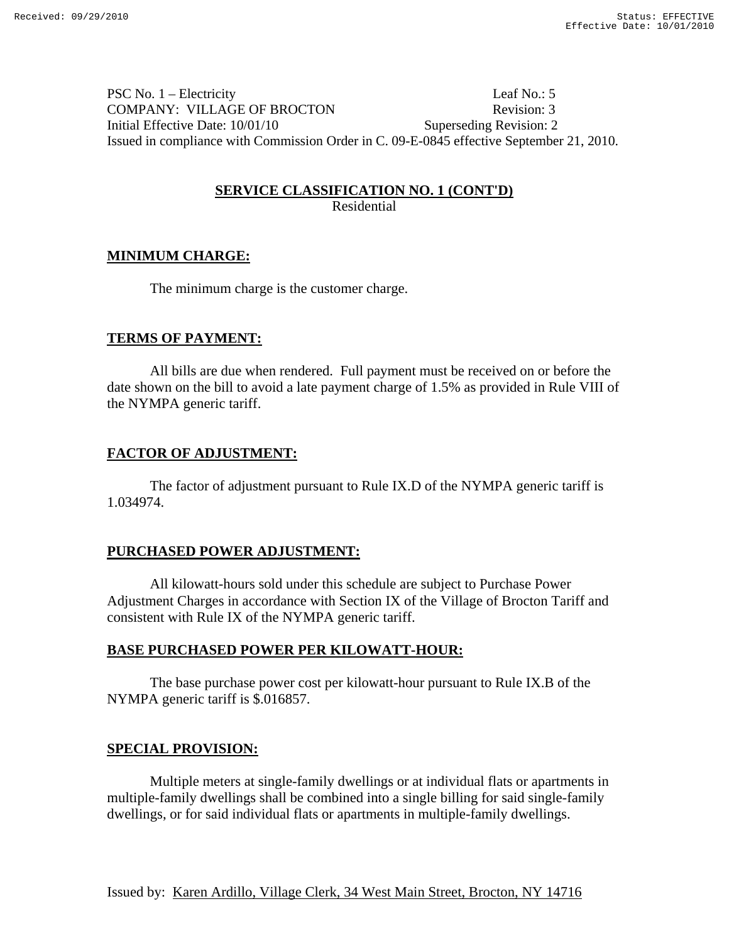PSC No. 1 – Electricity Leaf No.: 5 COMPANY: VILLAGE OF BROCTON Revision: 3 Initial Effective Date: 10/01/10 Superseding Revision: 2 Issued in compliance with Commission Order in C. 09-E-0845 effective September 21, 2010.

# **SERVICE CLASSIFICATION NO. 1 (CONT'D)**

Residential

# **MINIMUM CHARGE:**

The minimum charge is the customer charge.

# **TERMS OF PAYMENT:**

 All bills are due when rendered. Full payment must be received on or before the date shown on the bill to avoid a late payment charge of 1.5% as provided in Rule VIII of the NYMPA generic tariff.

# **FACTOR OF ADJUSTMENT:**

 The factor of adjustment pursuant to Rule IX.D of the NYMPA generic tariff is 1.034974.

# **PURCHASED POWER ADJUSTMENT:**

All kilowatt-hours sold under this schedule are subject to Purchase Power Adjustment Charges in accordance with Section IX of the Village of Brocton Tariff and consistent with Rule IX of the NYMPA generic tariff.

# **BASE PURCHASED POWER PER KILOWATT-HOUR:**

The base purchase power cost per kilowatt-hour pursuant to Rule IX.B of the NYMPA generic tariff is \$.016857.

## **SPECIAL PROVISION:**

Multiple meters at single-family dwellings or at individual flats or apartments in multiple-family dwellings shall be combined into a single billing for said single-family dwellings, or for said individual flats or apartments in multiple-family dwellings.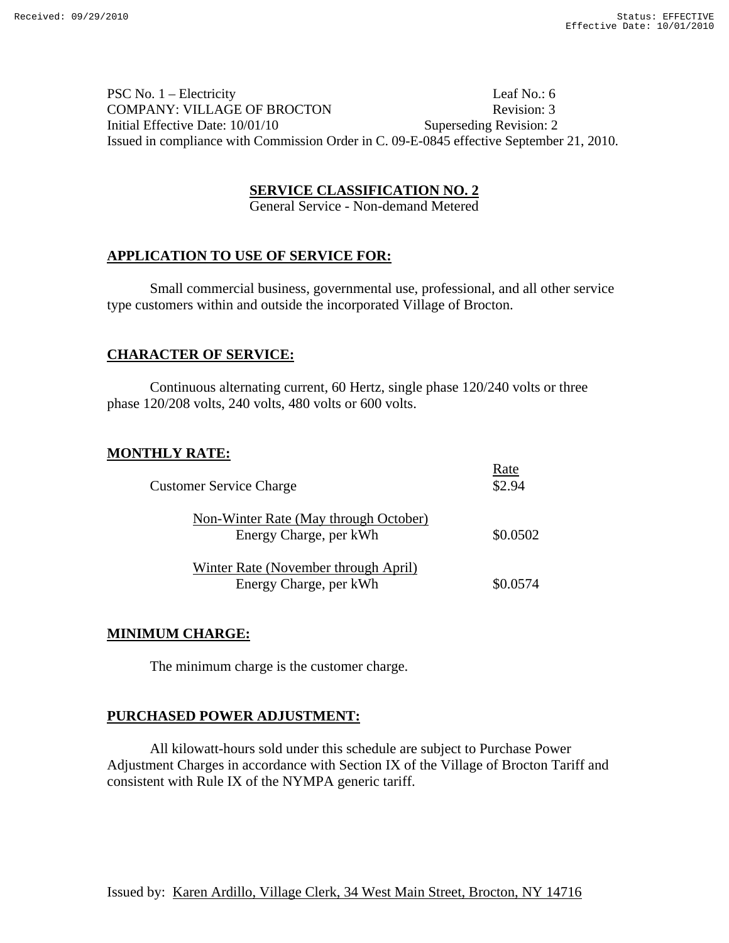PSC No. 1 – Electricity Leaf No.: 6 COMPANY: VILLAGE OF BROCTON Revision: 3 Initial Effective Date:  $10/01/10$  Superseding Revision: 2 Issued in compliance with Commission Order in C. 09-E-0845 effective September 21, 2010.

## **SERVICE CLASSIFICATION NO. 2**

General Service - Non-demand Metered

## **APPLICATION TO USE OF SERVICE FOR:**

Small commercial business, governmental use, professional, and all other service type customers within and outside the incorporated Village of Brocton.

## **CHARACTER OF SERVICE:**

Continuous alternating current, 60 Hertz, single phase 120/240 volts or three phase 120/208 volts, 240 volts, 480 volts or 600 volts.

## **MONTHLY RATE:**

| <b>Customer Service Charge</b>                                  | Rate<br>\$2.94 |
|-----------------------------------------------------------------|----------------|
| Non-Winter Rate (May through October)<br>Energy Charge, per kWh | \$0.0502       |
| Winter Rate (November through April)<br>Energy Charge, per kWh  | \$0.0574       |

## **MINIMUM CHARGE:**

The minimum charge is the customer charge.

## **PURCHASED POWER ADJUSTMENT:**

All kilowatt-hours sold under this schedule are subject to Purchase Power Adjustment Charges in accordance with Section IX of the Village of Brocton Tariff and consistent with Rule IX of the NYMPA generic tariff.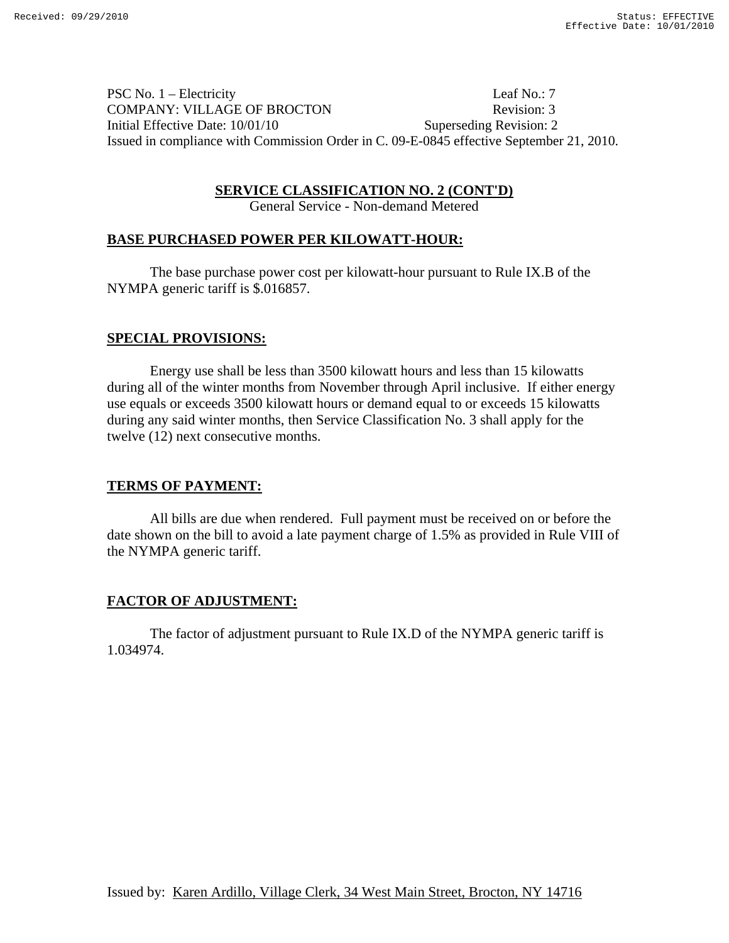PSC No. 1 – Electricity Leaf No.: 7 COMPANY: VILLAGE OF BROCTON Revision: 3 Initial Effective Date: 10/01/10 Superseding Revision: 2 Issued in compliance with Commission Order in C. 09-E-0845 effective September 21, 2010.

**SERVICE CLASSIFICATION NO. 2 (CONT'D)**

General Service - Non-demand Metered

## **BASE PURCHASED POWER PER KILOWATT-HOUR:**

The base purchase power cost per kilowatt-hour pursuant to Rule IX.B of the NYMPA generic tariff is \$.016857.

## **SPECIAL PROVISIONS:**

 Energy use shall be less than 3500 kilowatt hours and less than 15 kilowatts during all of the winter months from November through April inclusive. If either energy use equals or exceeds 3500 kilowatt hours or demand equal to or exceeds 15 kilowatts during any said winter months, then Service Classification No. 3 shall apply for the twelve (12) next consecutive months.

# **TERMS OF PAYMENT:**

All bills are due when rendered. Full payment must be received on or before the date shown on the bill to avoid a late payment charge of 1.5% as provided in Rule VIII of the NYMPA generic tariff.

# **FACTOR OF ADJUSTMENT:**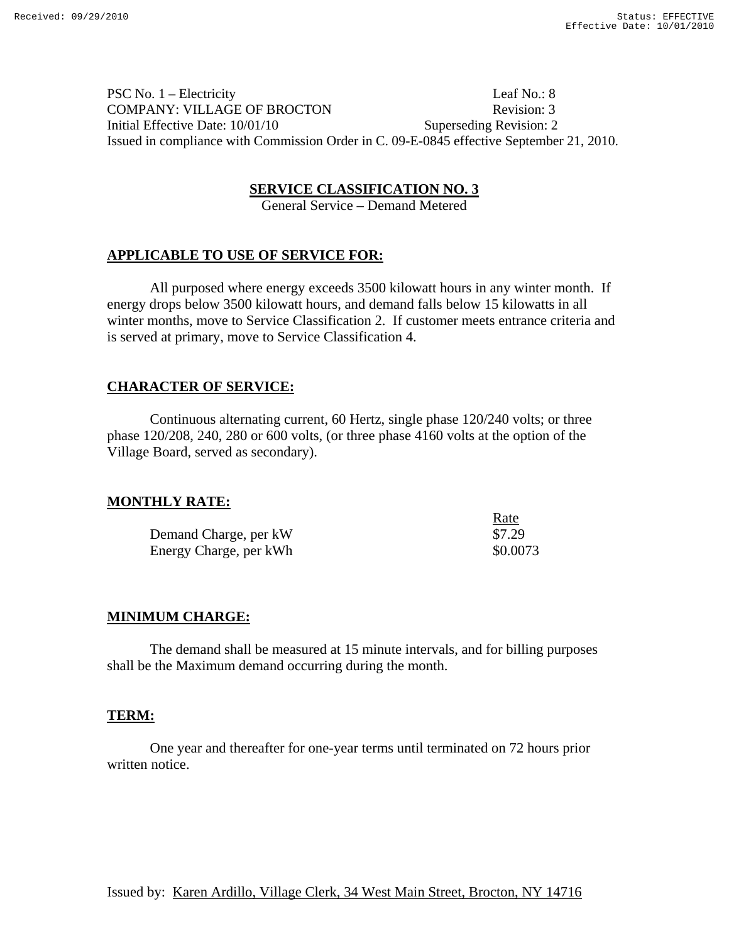PSC No. 1 – Electricity Leaf No.: 8 COMPANY: VILLAGE OF BROCTON Revision: 3 Initial Effective Date: 10/01/10 Superseding Revision: 2 Issued in compliance with Commission Order in C. 09-E-0845 effective September 21, 2010.

## **SERVICE CLASSIFICATION NO. 3**

General Service – Demand Metered

## **APPLICABLE TO USE OF SERVICE FOR:**

All purposed where energy exceeds 3500 kilowatt hours in any winter month. If energy drops below 3500 kilowatt hours, and demand falls below 15 kilowatts in all winter months, move to Service Classification 2. If customer meets entrance criteria and is served at primary, move to Service Classification 4.

## **CHARACTER OF SERVICE:**

Continuous alternating current, 60 Hertz, single phase 120/240 volts; or three phase 120/208, 240, 280 or 600 volts, (or three phase 4160 volts at the option of the Village Board, served as secondary).

## **MONTHLY RATE:**

|                        | <u>Rate</u> |
|------------------------|-------------|
| Demand Charge, per kW  | \$7.29      |
| Energy Charge, per kWh | \$0.0073    |

# **MINIMUM CHARGE:**

 The demand shall be measured at 15 minute intervals, and for billing purposes shall be the Maximum demand occurring during the month.

## **TERM:**

One year and thereafter for one-year terms until terminated on 72 hours prior written notice.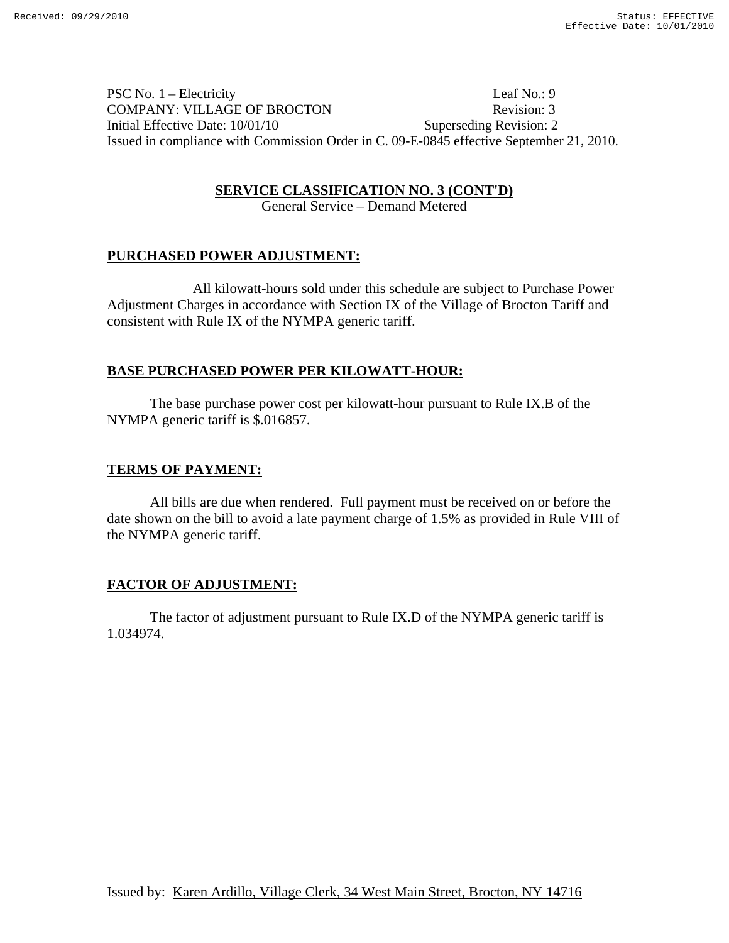PSC No. 1 – Electricity Leaf No.: 9 COMPANY: VILLAGE OF BROCTON Revision: 3 Initial Effective Date: 10/01/10 Superseding Revision: 2 Issued in compliance with Commission Order in C. 09-E-0845 effective September 21, 2010.

**SERVICE CLASSIFICATION NO. 3 (CONT'D)**

General Service – Demand Metered

## **PURCHASED POWER ADJUSTMENT:**

 All kilowatt-hours sold under this schedule are subject to Purchase Power Adjustment Charges in accordance with Section IX of the Village of Brocton Tariff and consistent with Rule IX of the NYMPA generic tariff.

#### **BASE PURCHASED POWER PER KILOWATT-HOUR:**

The base purchase power cost per kilowatt-hour pursuant to Rule IX.B of the NYMPA generic tariff is \$.016857.

#### **TERMS OF PAYMENT:**

 All bills are due when rendered. Full payment must be received on or before the date shown on the bill to avoid a late payment charge of 1.5% as provided in Rule VIII of the NYMPA generic tariff.

## **FACTOR OF ADJUSTMENT:**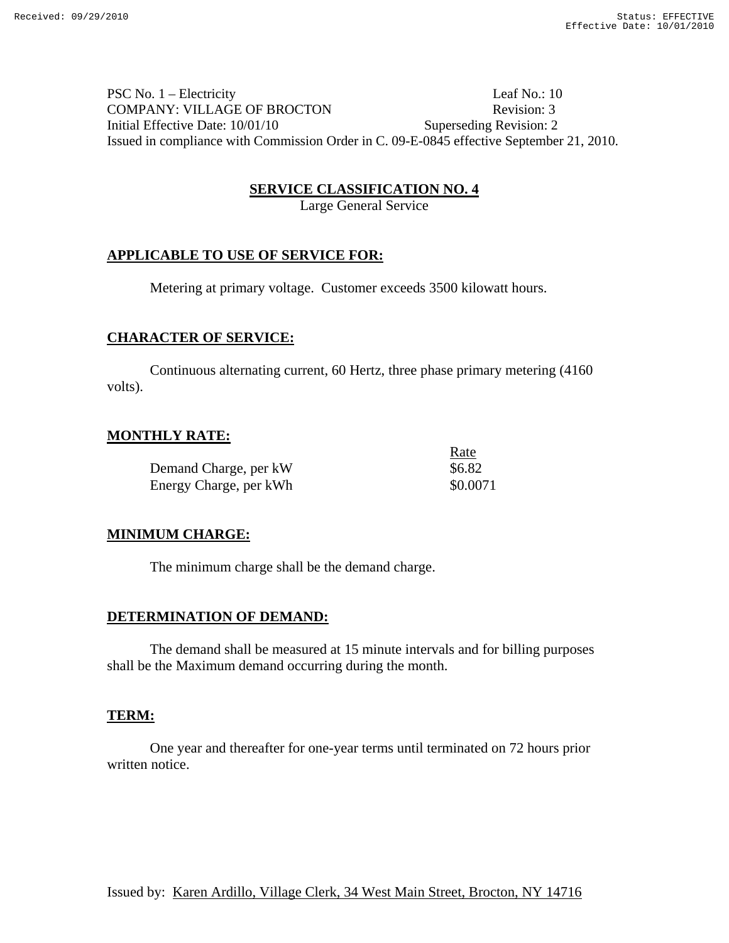PSC No. 1 – Electricity Leaf No.: 10 COMPANY: VILLAGE OF BROCTON Revision: 3 Initial Effective Date: 10/01/10 Superseding Revision: 2 Issued in compliance with Commission Order in C. 09-E-0845 effective September 21, 2010.

#### **SERVICE CLASSIFICATION NO. 4**

Large General Service

## **APPLICABLE TO USE OF SERVICE FOR:**

Metering at primary voltage. Customer exceeds 3500 kilowatt hours.

## **CHARACTER OF SERVICE:**

Continuous alternating current, 60 Hertz, three phase primary metering (4160 volts).

## **MONTHLY RATE:**

Demand Charge, per kW  $$6.82$ Energy Charge, per kWh  $$0.0071$ 

<u>Rate</u>

# **MINIMUM CHARGE:**

The minimum charge shall be the demand charge.

## **DETERMINATION OF DEMAND:**

 The demand shall be measured at 15 minute intervals and for billing purposes shall be the Maximum demand occurring during the month.

## **TERM:**

 One year and thereafter for one-year terms until terminated on 72 hours prior written notice.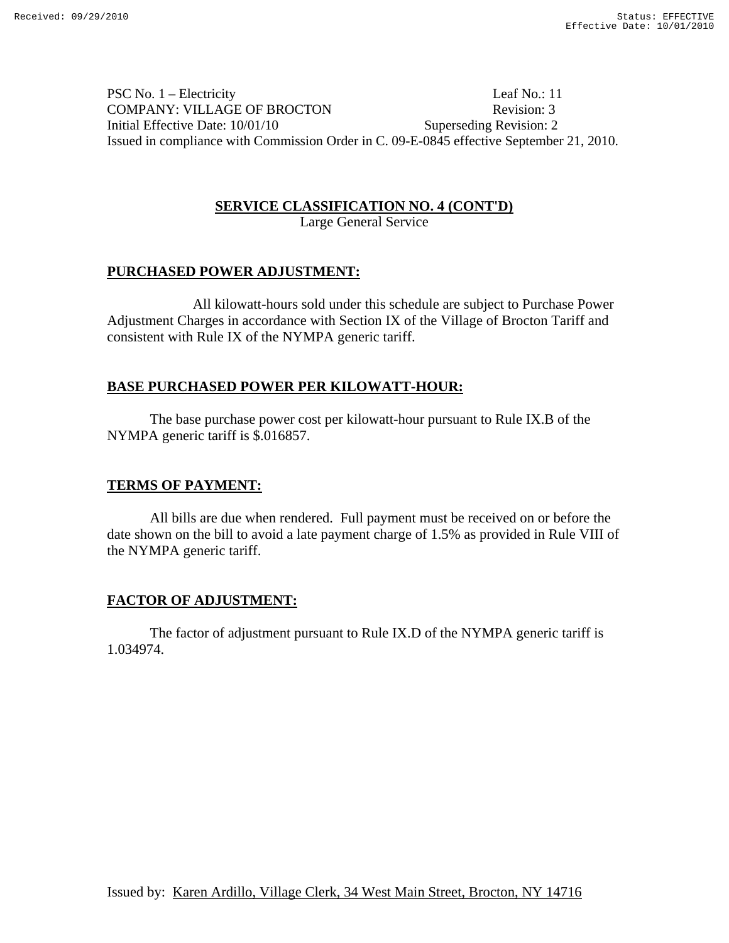PSC No. 1 – Electricity Leaf No.: 11 COMPANY: VILLAGE OF BROCTON Revision: 3 Initial Effective Date: 10/01/10 Superseding Revision: 2 Issued in compliance with Commission Order in C. 09-E-0845 effective September 21, 2010.

## **SERVICE CLASSIFICATION NO. 4 (CONT'D)** Large General Service

## **PURCHASED POWER ADJUSTMENT:**

 All kilowatt-hours sold under this schedule are subject to Purchase Power Adjustment Charges in accordance with Section IX of the Village of Brocton Tariff and consistent with Rule IX of the NYMPA generic tariff.

# **BASE PURCHASED POWER PER KILOWATT-HOUR:**

The base purchase power cost per kilowatt-hour pursuant to Rule IX.B of the NYMPA generic tariff is \$.016857.

# **TERMS OF PAYMENT:**

 All bills are due when rendered. Full payment must be received on or before the date shown on the bill to avoid a late payment charge of 1.5% as provided in Rule VIII of the NYMPA generic tariff.

# **FACTOR OF ADJUSTMENT:**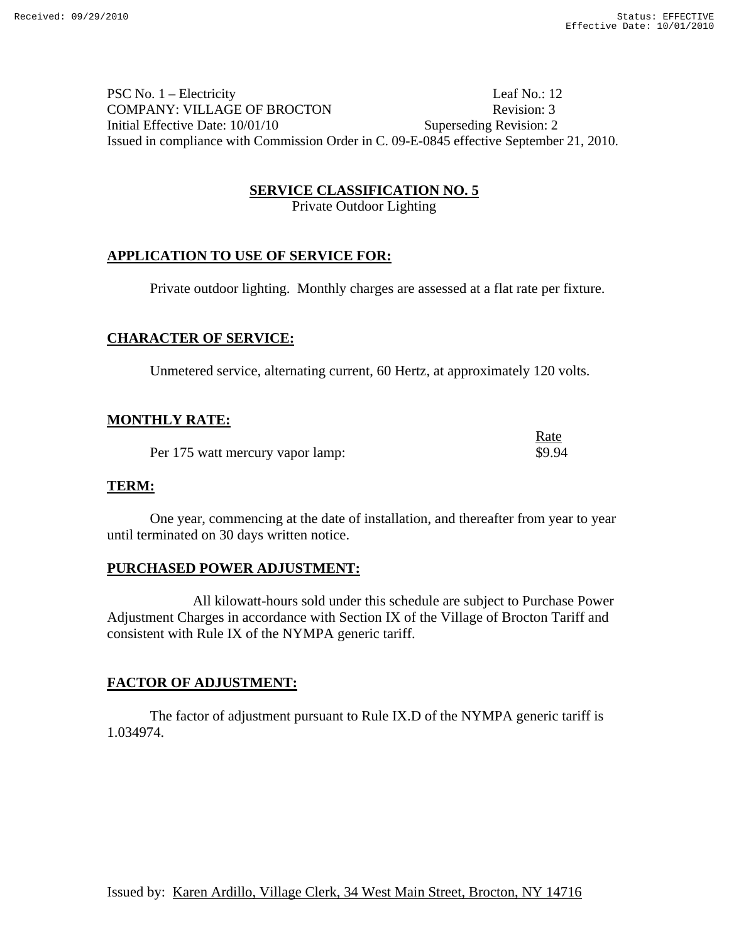PSC No. 1 – Electricity Leaf No.: 12 COMPANY: VILLAGE OF BROCTON Revision: 3 Initial Effective Date: 10/01/10 Superseding Revision: 2 Issued in compliance with Commission Order in C. 09-E-0845 effective September 21, 2010.

## **SERVICE CLASSIFICATION NO. 5**

Private Outdoor Lighting

## **APPLICATION TO USE OF SERVICE FOR:**

Private outdoor lighting. Monthly charges are assessed at a flat rate per fixture.

## **CHARACTER OF SERVICE:**

Unmetered service, alternating current, 60 Hertz, at approximately 120 volts.

## **MONTHLY RATE:**

*Rate* Per 175 watt mercury vapor lamp:  $$9.94$ 

#### **TERM:**

 One year, commencing at the date of installation, and thereafter from year to year until terminated on 30 days written notice.

## **PURCHASED POWER ADJUSTMENT:**

 All kilowatt-hours sold under this schedule are subject to Purchase Power Adjustment Charges in accordance with Section IX of the Village of Brocton Tariff and consistent with Rule IX of the NYMPA generic tariff.

## **FACTOR OF ADJUSTMENT:**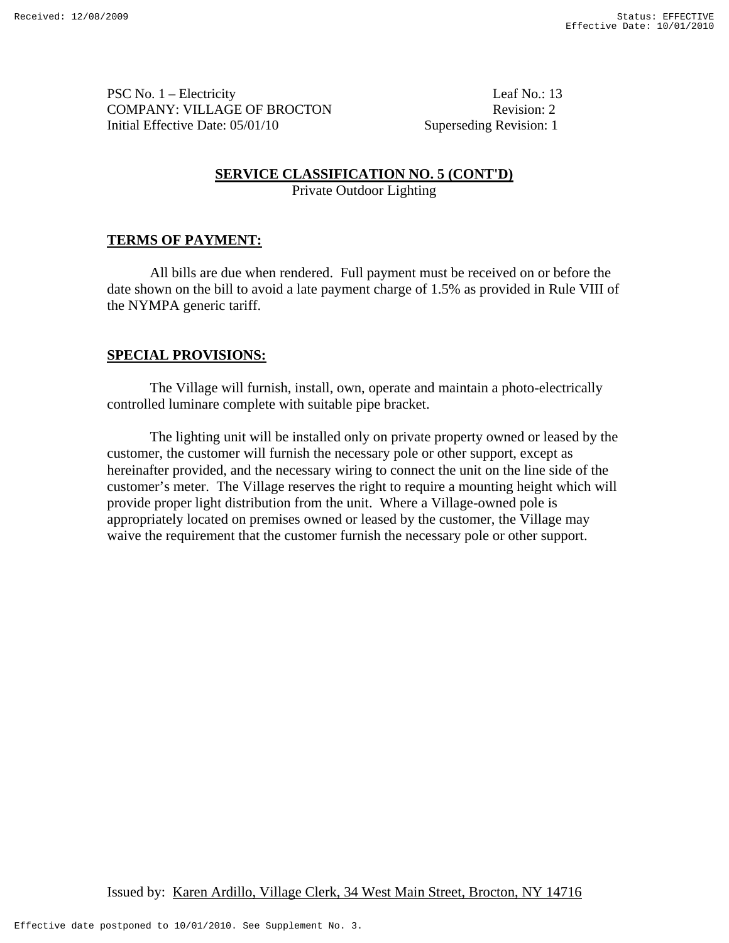PSC No. 1 – Electricity Leaf No.: 13 COMPANY: VILLAGE OF BROCTON Revision: 2 Initial Effective Date: 05/01/10 Superseding Revision: 1

# **SERVICE CLASSIFICATION NO. 5 (CONT'D)**

Private Outdoor Lighting

# **TERMS OF PAYMENT:**

All bills are due when rendered. Full payment must be received on or before the date shown on the bill to avoid a late payment charge of 1.5% as provided in Rule VIII of the NYMPA generic tariff.

# **SPECIAL PROVISIONS:**

 The Village will furnish, install, own, operate and maintain a photo-electrically controlled luminare complete with suitable pipe bracket.

 The lighting unit will be installed only on private property owned or leased by the customer, the customer will furnish the necessary pole or other support, except as hereinafter provided, and the necessary wiring to connect the unit on the line side of the customer's meter. The Village reserves the right to require a mounting height which will provide proper light distribution from the unit. Where a Village-owned pole is appropriately located on premises owned or leased by the customer, the Village may waive the requirement that the customer furnish the necessary pole or other support.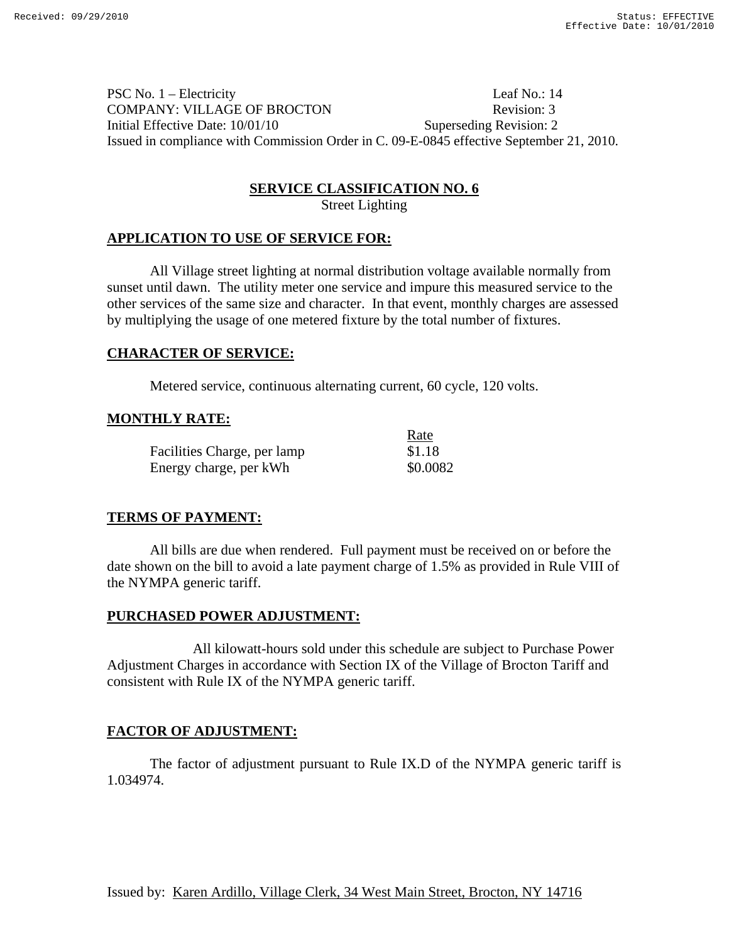PSC No. 1 – Electricity Leaf No.: 14 COMPANY: VILLAGE OF BROCTON Revision: 3 Initial Effective Date: 10/01/10 Superseding Revision: 2 Issued in compliance with Commission Order in C. 09-E-0845 effective September 21, 2010.

#### **SERVICE CLASSIFICATION NO. 6**

Street Lighting

#### **APPLICATION TO USE OF SERVICE FOR:**

 All Village street lighting at normal distribution voltage available normally from sunset until dawn. The utility meter one service and impure this measured service to the other services of the same size and character. In that event, monthly charges are assessed by multiplying the usage of one metered fixture by the total number of fixtures.

## **CHARACTER OF SERVICE:**

Metered service, continuous alternating current, 60 cycle, 120 volts.

#### **MONTHLY RATE:**

|                             | Rate     |
|-----------------------------|----------|
| Facilities Charge, per lamp | \$1.18   |
| Energy charge, per kWh      | \$0.0082 |

#### **TERMS OF PAYMENT:**

All bills are due when rendered. Full payment must be received on or before the date shown on the bill to avoid a late payment charge of 1.5% as provided in Rule VIII of the NYMPA generic tariff.

#### **PURCHASED POWER ADJUSTMENT:**

 All kilowatt-hours sold under this schedule are subject to Purchase Power Adjustment Charges in accordance with Section IX of the Village of Brocton Tariff and consistent with Rule IX of the NYMPA generic tariff.

## **FACTOR OF ADJUSTMENT:**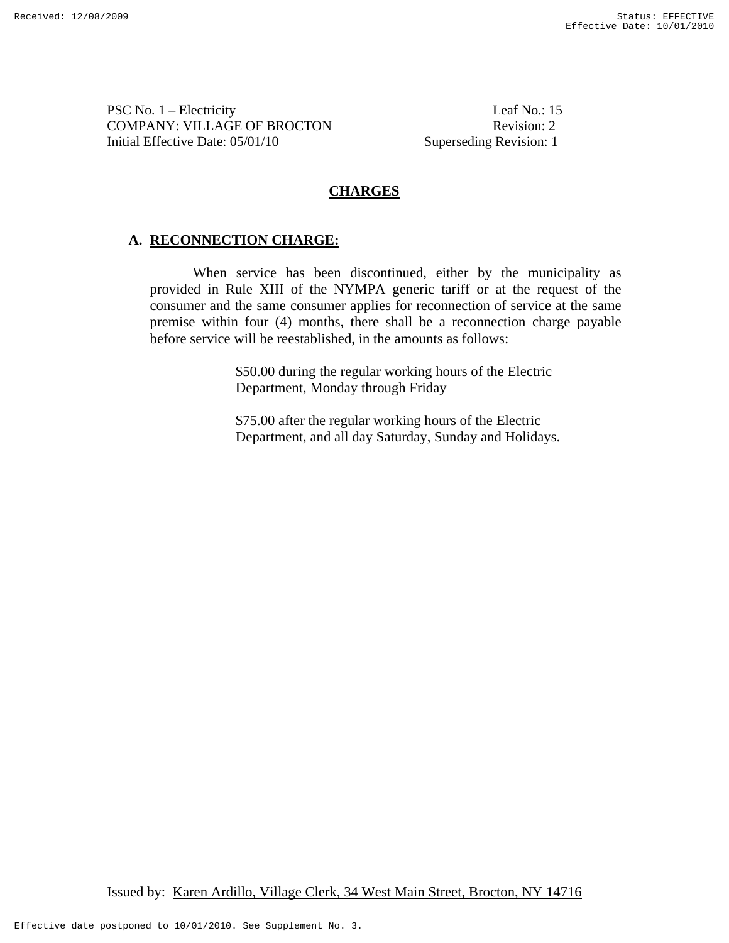PSC No. 1 – Electricity Leaf No.: 15 COMPANY: VILLAGE OF BROCTON Revision: 2 Initial Effective Date: 05/01/10 Superseding Revision: 1

## **CHARGES**

# **A. RECONNECTION CHARGE:**

When service has been discontinued, either by the municipality as provided in Rule XIII of the NYMPA generic tariff or at the request of the consumer and the same consumer applies for reconnection of service at the same premise within four (4) months, there shall be a reconnection charge payable before service will be reestablished, in the amounts as follows:

> \$50.00 during the regular working hours of the Electric Department, Monday through Friday

\$75.00 after the regular working hours of the Electric Department, and all day Saturday, Sunday and Holidays.

Issued by: Karen Ardillo, Village Clerk, 34 West Main Street, Brocton, NY 14716